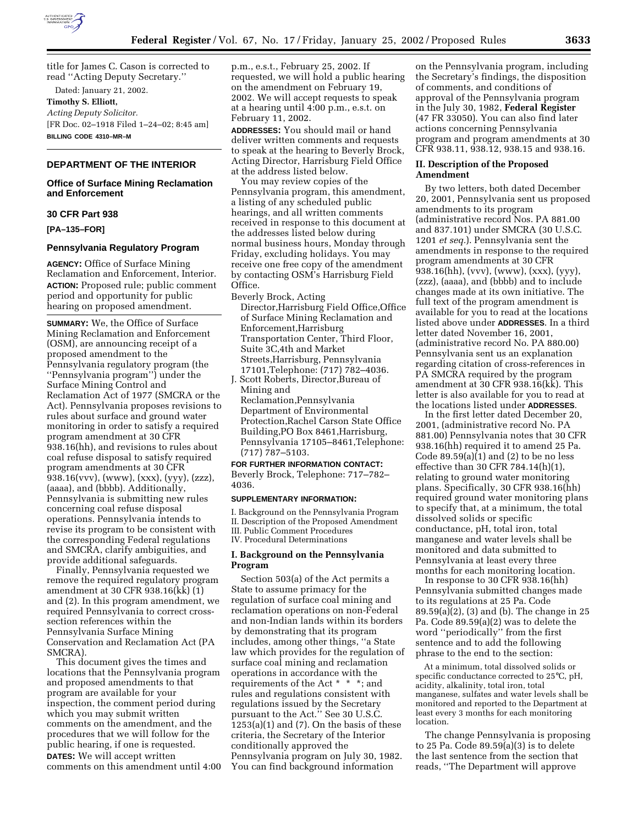

title for James C. Cason is corrected to read ''Acting Deputy Secretary.''

Dated: January 21, 2002. **Timothy S. Elliott,** *Acting Deputy Solicitor.* [FR Doc. 02–1918 Filed 1–24–02; 8:45 am] **BILLING CODE 4310–MR–M**

# **DEPARTMENT OF THE INTERIOR**

## **Office of Surface Mining Reclamation and Enforcement**

## **30 CFR Part 938**

**[PA–135–FOR]**

## **Pennsylvania Regulatory Program**

**AGENCY:** Office of Surface Mining Reclamation and Enforcement, Interior. **ACTION:** Proposed rule; public comment period and opportunity for public hearing on proposed amendment.

**SUMMARY:** We, the Office of Surface Mining Reclamation and Enforcement (OSM), are announcing receipt of a proposed amendment to the Pennsylvania regulatory program (the ''Pennsylvania program'') under the Surface Mining Control and Reclamation Act of 1977 (SMCRA or the Act). Pennsylvania proposes revisions to rules about surface and ground water monitoring in order to satisfy a required program amendment at 30 CFR 938.16(hh), and revisions to rules about coal refuse disposal to satisfy required program amendments at 30 CFR 938.16(vvv), (www), (xxx), (yyy), (zzz), (aaaa), and (bbbb). Additionally, Pennsylvania is submitting new rules concerning coal refuse disposal operations. Pennsylvania intends to revise its program to be consistent with the corresponding Federal regulations and SMCRA, clarify ambiguities, and provide additional safeguards.

Finally, Pennsylvania requested we remove the required regulatory program amendment at 30 CFR 938.16(kk) (1) and (2). In this program amendment, we required Pennsylvania to correct crosssection references within the Pennsylvania Surface Mining Conservation and Reclamation Act (PA SMCRA).

This document gives the times and locations that the Pennsylvania program and proposed amendments to that program are available for your inspection, the comment period during which you may submit written comments on the amendment, and the procedures that we will follow for the public hearing, if one is requested. **DATES:** We will accept written comments on this amendment until 4:00 p.m., e.s.t., February 25, 2002. If requested, we will hold a public hearing on the amendment on February 19, 2002. We will accept requests to speak at a hearing until 4:00 p.m., e.s.t. on February 11, 2002.

**ADDRESSES:** You should mail or hand deliver written comments and requests to speak at the hearing to Beverly Brock, Acting Director, Harrisburg Field Office at the address listed below.

You may review copies of the Pennsylvania program, this amendment, a listing of any scheduled public hearings, and all written comments received in response to this document at the addresses listed below during normal business hours, Monday through Friday, excluding holidays. You may receive one free copy of the amendment by contacting OSM's Harrisburg Field Office.

Beverly Brock, Acting

Director,Harrisburg Field Office,Office of Surface Mining Reclamation and Enforcement,Harrisburg Transportation Center, Third Floor, Suite 3C,4th and Market Streets,Harrisburg, Pennsylvania 17101,Telephone: (717) 782–4036.

J. Scott Roberts, Director,Bureau of Mining and Reclamation,Pennsylvania Department of Environmental Protection,Rachel Carson State Office Building,PO Box 8461,Harrisburg, Pennsylvania 17105–8461,Telephone: (717) 787–5103.

### **FOR FURTHER INFORMATION CONTACT:**

Beverly Brock, Telephone: 717–782– 4036.

### **SUPPLEMENTARY INFORMATION:**

I. Background on the Pennsylvania Program II. Description of the Proposed Amendment III. Public Comment Procedures IV. Procedural Determinations

## **I. Background on the Pennsylvania Program**

Section 503(a) of the Act permits a State to assume primacy for the regulation of surface coal mining and reclamation operations on non-Federal and non-Indian lands within its borders by demonstrating that its program includes, among other things, ''a State law which provides for the regulation of surface coal mining and reclamation operations in accordance with the requirements of the Act \* \* \*; and rules and regulations consistent with regulations issued by the Secretary pursuant to the Act.'' See 30 U.S.C.  $1253(a)(1)$  and  $(7)$ . On the basis of these criteria, the Secretary of the Interior conditionally approved the Pennsylvania program on July 30, 1982. You can find background information

on the Pennsylvania program, including the Secretary's findings, the disposition of comments, and conditions of approval of the Pennsylvania program in the July 30, 1982, **Federal Register** (47 FR 33050). You can also find later actions concerning Pennsylvania program and program amendments at 30 CFR 938.11, 938.12, 938.15 and 938.16.

## **II. Description of the Proposed Amendment**

By two letters, both dated December 20, 2001, Pennsylvania sent us proposed amendments to its program (administrative record Nos. PA 881.00 and 837.101) under SMCRA (30 U.S.C. 1201 *et seq.*). Pennsylvania sent the amendments in response to the required program amendments at 30 CFR 938.16(hh), (vvv), (www), (xxx), (yyy), (zzz), (aaaa), and (bbbb) and to include changes made at its own initiative. The full text of the program amendment is available for you to read at the locations listed above under **ADDRESSES**. In a third letter dated November 16, 2001, (administrative record No. PA 880.00) Pennsylvania sent us an explanation regarding citation of cross-references in PA SMCRA required by the program amendment at 30 CFR 938.16(kk). This letter is also available for you to read at the locations listed under **ADDRESSES**.

In the first letter dated December 20, 2001, (administrative record No. PA 881.00) Pennsylvania notes that 30 CFR 938.16(hh) required it to amend 25 Pa. Code  $89.59(a)(1)$  and  $(2)$  to be no less effective than 30 CFR 784.14(h)(1), relating to ground water monitoring plans. Specifically, 30 CFR 938.16(hh) required ground water monitoring plans to specify that, at a minimum, the total dissolved solids or specific conductance, pH, total iron, total manganese and water levels shall be monitored and data submitted to Pennsylvania at least every three months for each monitoring location.

In response to 30 CFR 938.16(hh) Pennsylvania submitted changes made to its regulations at 25 Pa. Code 89.59(a)(2), (3) and (b). The change in 25 Pa. Code 89.59(a)(2) was to delete the word ''periodically'' from the first sentence and to add the following phrase to the end to the section:

At a minimum, total dissolved solids or specific conductance corrected to 25°C, pH, acidity, alkalinity, total iron, total manganese, sulfates and water levels shall be monitored and reported to the Department at least every 3 months for each monitoring location.

The change Pennsylvania is proposing to 25 Pa. Code 89.59(a)(3) is to delete the last sentence from the section that reads, ''The Department will approve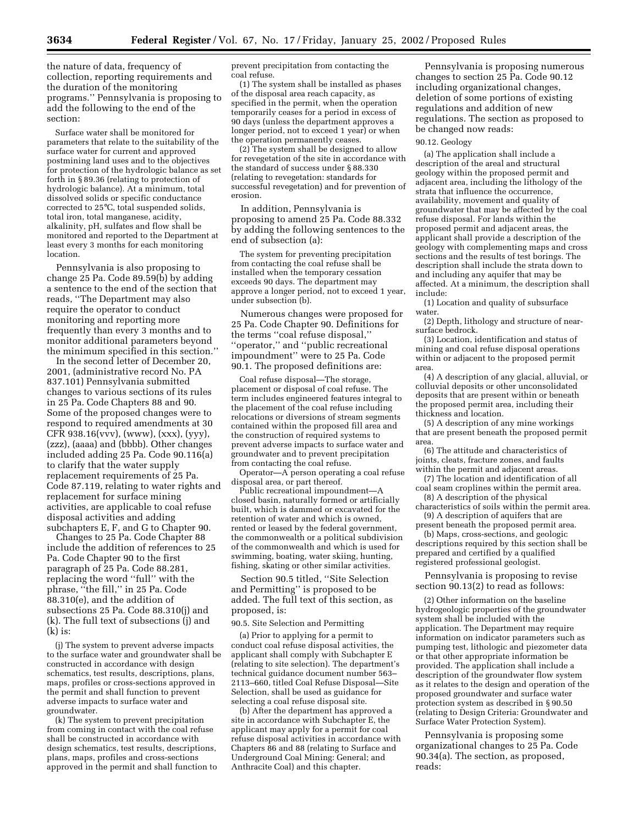the nature of data, frequency of collection, reporting requirements and the duration of the monitoring programs.'' Pennsylvania is proposing to add the following to the end of the section:

Surface water shall be monitored for parameters that relate to the suitability of the surface water for current and approved postmining land uses and to the objectives for protection of the hydrologic balance as set forth in § 89.36 (relating to protection of hydrologic balance). At a minimum, total dissolved solids or specific conductance corrected to 25°C, total suspended solids, total iron, total manganese, acidity, alkalinity, pH, sulfates and flow shall be monitored and reported to the Department at least every 3 months for each monitoring location.

Pennsylvania is also proposing to change 25 Pa. Code 89.59(b) by adding a sentence to the end of the section that reads, ''The Department may also require the operator to conduct monitoring and reporting more frequently than every 3 months and to monitor additional parameters beyond the minimum specified in this section.''

In the second letter of December 20, 2001, (administrative record No. PA 837.101) Pennsylvania submitted changes to various sections of its rules in 25 Pa. Code Chapters 88 and 90. Some of the proposed changes were to respond to required amendments at 30 CFR 938.16(vvv), (www), (xxx), (yyy), (zzz), (aaaa) and (bbbb). Other changes included adding 25 Pa. Code 90.116(a) to clarify that the water supply replacement requirements of 25 Pa. Code 87.119, relating to water rights and replacement for surface mining activities, are applicable to coal refuse disposal activities and adding subchapters E, F, and G to Chapter 90.

Changes to 25 Pa. Code Chapter 88 include the addition of references to 25 Pa. Code Chapter 90 to the first paragraph of 25 Pa. Code 88.281, replacing the word ''full'' with the phrase, ''the fill,'' in 25 Pa. Code 88.310(e), and the addition of subsections 25 Pa. Code 88.310(j) and (k). The full text of subsections (j) and (k) is:

(j) The system to prevent adverse impacts to the surface water and groundwater shall be constructed in accordance with design schematics, test results, descriptions, plans, maps, profiles or cross-sections approved in the permit and shall function to prevent adverse impacts to surface water and groundwater.

(k) The system to prevent precipitation from coming in contact with the coal refuse shall be constructed in accordance with design schematics, test results, descriptions, plans, maps, profiles and cross-sections approved in the permit and shall function to prevent precipitation from contacting the coal refuse.

(1) The system shall be installed as phases of the disposal area reach capacity, as specified in the permit, when the operation temporarily ceases for a period in excess of 90 days (unless the department approves a longer period, not to exceed 1 year) or when the operation permanently ceases.

(2) The system shall be designed to allow for revegetation of the site in accordance with the standard of success under § 88.330 (relating to revegetation: standards for successful revegetation) and for prevention of erosion.

In addition, Pennsylvania is proposing to amend 25 Pa. Code 88.332 by adding the following sentences to the end of subsection (a):

The system for preventing precipitation from contacting the coal refuse shall be installed when the temporary cessation exceeds 90 days. The department may approve a longer period, not to exceed 1 year, under subsection (b).

Numerous changes were proposed for 25 Pa. Code Chapter 90. Definitions for the terms ''coal refuse disposal,'' ''operator,'' and ''public recreational impoundment'' were to 25 Pa. Code 90.1. The proposed definitions are:

Coal refuse disposal—The storage, placement or disposal of coal refuse. The term includes engineered features integral to the placement of the coal refuse including relocations or diversions of stream segments contained within the proposed fill area and the construction of required systems to prevent adverse impacts to surface water and groundwater and to prevent precipitation from contacting the coal refuse.

Operator—A person operating a coal refuse disposal area, or part thereof.

Public recreational impoundment—A closed basin, naturally formed or artificially built, which is dammed or excavated for the retention of water and which is owned, rented or leased by the federal government, the commonwealth or a political subdivision of the commonwealth and which is used for swimming, boating, water skiing, hunting, fishing, skating or other similar activities.

Section 90.5 titled, ''Site Selection and Permitting'' is proposed to be added. The full text of this section, as proposed, is:

90.5. Site Selection and Permitting

(a) Prior to applying for a permit to conduct coal refuse disposal activities, the applicant shall comply with Subchapter E (relating to site selection). The department's technical guidance document number 563– 2113–660, titled Coal Refuse Disposal—Site Selection, shall be used as guidance for selecting a coal refuse disposal site.

(b) After the department has approved a site in accordance with Subchapter E, the applicant may apply for a permit for coal refuse disposal activities in accordance with Chapters 86 and 88 (relating to Surface and Underground Coal Mining: General; and Anthracite Coal) and this chapter.

Pennsylvania is proposing numerous changes to section 25 Pa. Code 90.12 including organizational changes, deletion of some portions of existing regulations and addition of new regulations. The section as proposed to be changed now reads:

#### 90.12. Geology

(a) The application shall include a description of the areal and structural geology within the proposed permit and adjacent area, including the lithology of the strata that influence the occurrence, availability, movement and quality of groundwater that may be affected by the coal refuse disposal. For lands within the proposed permit and adjacent areas, the applicant shall provide a description of the geology with complementing maps and cross sections and the results of test borings. The description shall include the strata down to and including any aquifer that may be affected. At a minimum, the description shall include:

(1) Location and quality of subsurface water.

(2) Depth, lithology and structure of nearsurface bedrock.

(3) Location, identification and status of mining and coal refuse disposal operations within or adjacent to the proposed permit area.

(4) A description of any glacial, alluvial, or colluvial deposits or other unconsolidated deposits that are present within or beneath the proposed permit area, including their thickness and location.

(5) A description of any mine workings that are present beneath the proposed permit area.

(6) The attitude and characteristics of joints, cleats, fracture zones, and faults within the permit and adjacent areas.

(7) The location and identification of all coal seam croplines within the permit area.

(8) A description of the physical characteristics of soils within the permit area. (9) A description of aquifers that are

present beneath the proposed permit area.

(b) Maps, cross-sections, and geologic descriptions required by this section shall be prepared and certified by a qualified registered professional geologist.

Pennsylvania is proposing to revise section 90.13(2) to read as follows:

(2) Other information on the baseline hydrogeologic properties of the groundwater system shall be included with the application. The Department may require information on indicator parameters such as pumping test, lithologic and piezometer data or that other appropriate information be provided. The application shall include a description of the groundwater flow system as it relates to the design and operation of the proposed groundwater and surface water protection system as described in § 90.50 (relating to Design Criteria: Groundwater and Surface Water Protection System).

Pennsylvania is proposing some organizational changes to 25 Pa. Code 90.34(a). The section, as proposed, reads: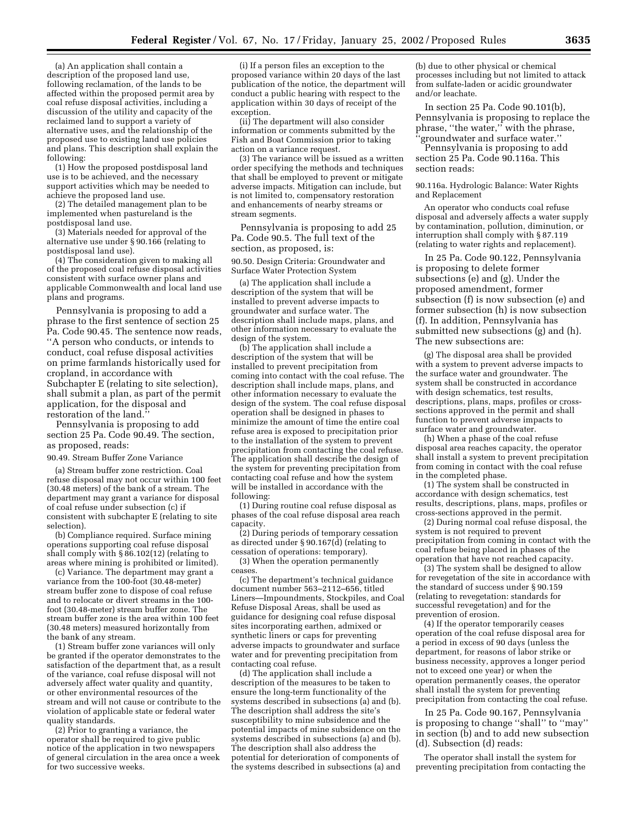(a) An application shall contain a description of the proposed land use, following reclamation, of the lands to be affected within the proposed permit area by coal refuse disposal activities, including a discussion of the utility and capacity of the reclaimed land to support a variety of alternative uses, and the relationship of the proposed use to existing land use policies and plans. This description shall explain the following:

(1) How the proposed postdisposal land use is to be achieved, and the necessary support activities which may be needed to achieve the proposed land use.

(2) The detailed management plan to be implemented when pastureland is the postdisposal land use.

(3) Materials needed for approval of the alternative use under § 90.166 (relating to postdisposal land use).

(4) The consideration given to making all of the proposed coal refuse disposal activities consistent with surface owner plans and applicable Commonwealth and local land use plans and programs.

Pennsylvania is proposing to add a phrase to the first sentence of section 25 Pa. Code 90.45. The sentence now reads, ''A person who conducts, or intends to conduct, coal refuse disposal activities on prime farmlands historically used for cropland, in accordance with Subchapter E (relating to site selection), shall submit a plan, as part of the permit application, for the disposal and restoration of the land.''

Pennsylvania is proposing to add section 25 Pa. Code 90.49. The section, as proposed, reads:

#### 90.49. Stream Buffer Zone Variance

(a) Stream buffer zone restriction. Coal refuse disposal may not occur within 100 feet (30.48 meters) of the bank of a stream. The department may grant a variance for disposal of coal refuse under subsection (c) if consistent with subchapter E (relating to site selection).

(b) Compliance required. Surface mining operations supporting coal refuse disposal shall comply with § 86.102(12) (relating to areas where mining is prohibited or limited).

(c) Variance. The department may grant a variance from the 100-foot (30.48-meter) stream buffer zone to dispose of coal refuse and to relocate or divert streams in the 100 foot (30.48-meter) stream buffer zone. The stream buffer zone is the area within 100 feet (30.48 meters) measured horizontally from the bank of any stream.

(1) Stream buffer zone variances will only be granted if the operator demonstrates to the satisfaction of the department that, as a result of the variance, coal refuse disposal will not adversely affect water quality and quantity, or other environmental resources of the stream and will not cause or contribute to the violation of applicable state or federal water quality standards.

(2) Prior to granting a variance, the operator shall be required to give public notice of the application in two newspapers of general circulation in the area once a week for two successive weeks.

(i) If a person files an exception to the proposed variance within 20 days of the last publication of the notice, the department will conduct a public hearing with respect to the application within 30 days of receipt of the exception.

(ii) The department will also consider information or comments submitted by the Fish and Boat Commission prior to taking action on a variance request.

(3) The variance will be issued as a written order specifying the methods and techniques that shall be employed to prevent or mitigate adverse impacts. Mitigation can include, but is not limited to, compensatory restoration and enhancements of nearby streams or stream segments.

Pennsylvania is proposing to add 25 Pa. Code 90.5. The full text of the section, as proposed, is:

90.50. Design Criteria: Groundwater and Surface Water Protection System

(a) The application shall include a description of the system that will be installed to prevent adverse impacts to groundwater and surface water. The description shall include maps, plans, and other information necessary to evaluate the design of the system.

(b) The application shall include a description of the system that will be installed to prevent precipitation from coming into contact with the coal refuse. The description shall include maps, plans, and other information necessary to evaluate the design of the system. The coal refuse disposal operation shall be designed in phases to minimize the amount of time the entire coal refuse area is exposed to precipitation prior to the installation of the system to prevent precipitation from contacting the coal refuse. The application shall describe the design of the system for preventing precipitation from contacting coal refuse and how the system will be installed in accordance with the following:

(1) During routine coal refuse disposal as phases of the coal refuse disposal area reach capacity.

(2) During periods of temporary cessation as directed under § 90.167(d) (relating to cessation of operations: temporary).

(3) When the operation permanently ceases.

(c) The department's technical guidance document number 563–2112–656, titled Liners—Impoundments, Stockpiles, and Coal Refuse Disposal Areas, shall be used as guidance for designing coal refuse disposal sites incorporating earthen, admixed or synthetic liners or caps for preventing adverse impacts to groundwater and surface water and for preventing precipitation from contacting coal refuse.

(d) The application shall include a description of the measures to be taken to ensure the long-term functionality of the systems described in subsections (a) and (b). The description shall address the site's susceptibility to mine subsidence and the potential impacts of mine subsidence on the systems described in subsections (a) and (b). The description shall also address the potential for deterioration of components of the systems described in subsections (a) and

(b) due to other physical or chemical processes including but not limited to attack from sulfate-laden or acidic groundwater and/or leachate.

In section 25 Pa. Code 90.101(b), Pennsylvania is proposing to replace the phrase, ''the water,'' with the phrase, 'groundwater and surface water.''

Pennsylvania is proposing to add section 25 Pa. Code 90.116a. This section reads:

90.116a. Hydrologic Balance: Water Rights and Replacement

An operator who conducts coal refuse disposal and adversely affects a water supply by contamination, pollution, diminution, or interruption shall comply with § 87.119 (relating to water rights and replacement).

In 25 Pa. Code 90.122, Pennsylvania is proposing to delete former subsections (e) and (g). Under the proposed amendment, former subsection (f) is now subsection (e) and former subsection (h) is now subsection (f). In addition, Pennsylvania has submitted new subsections (g) and (h). The new subsections are:

(g) The disposal area shall be provided with a system to prevent adverse impacts to the surface water and groundwater. The system shall be constructed in accordance with design schematics, test results, descriptions, plans, maps, profiles or crosssections approved in the permit and shall function to prevent adverse impacts to surface water and groundwater.

(h) When a phase of the coal refuse disposal area reaches capacity, the operator shall install a system to prevent precipitation from coming in contact with the coal refuse in the completed phase.

(1) The system shall be constructed in accordance with design schematics, test results, descriptions, plans, maps, profiles or cross-sections approved in the permit.

(2) During normal coal refuse disposal, the system is not required to prevent precipitation from coming in contact with the coal refuse being placed in phases of the operation that have not reached capacity.

(3) The system shall be designed to allow for revegetation of the site in accordance with the standard of success under § 90.159 (relating to revegetation: standards for successful revegetation) and for the prevention of erosion.

(4) If the operator temporarily ceases operation of the coal refuse disposal area for a period in excess of 90 days (unless the department, for reasons of labor strike or business necessity, approves a longer period not to exceed one year) or when the operation permanently ceases, the operator shall install the system for preventing precipitation from contacting the coal refuse.

In 25 Pa. Code 90.167, Pennsylvania is proposing to change ''shall'' to ''may'' in section (b) and to add new subsection (d). Subsection (d) reads:

The operator shall install the system for preventing precipitation from contacting the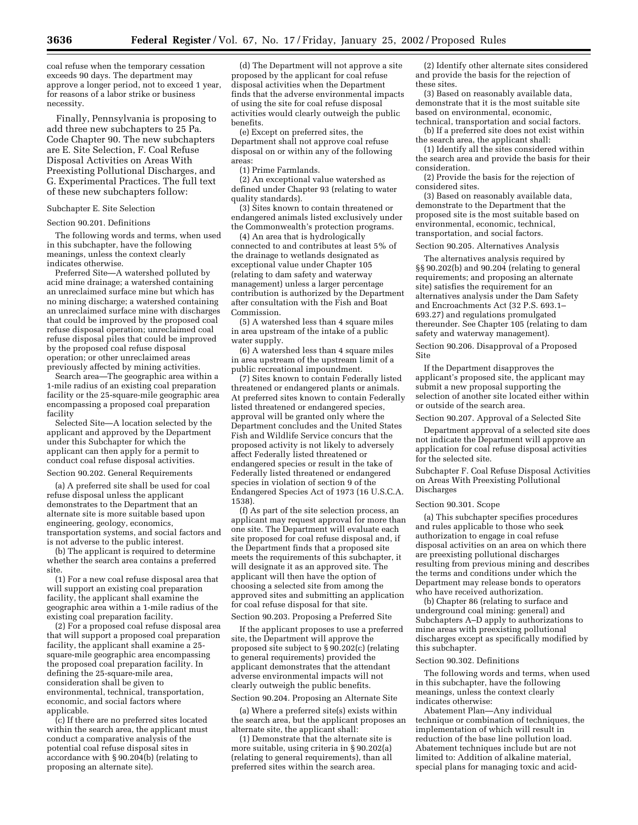coal refuse when the temporary cessation exceeds 90 days. The department may approve a longer period, not to exceed 1 year, for reasons of a labor strike or business necessity.

Finally, Pennsylvania is proposing to add three new subchapters to 25 Pa. Code Chapter 90. The new subchapters are E. Site Selection, F. Coal Refuse Disposal Activities on Areas With Preexisting Pollutional Discharges, and G. Experimental Practices. The full text of these new subchapters follow:

#### Subchapter E. Site Selection

#### Section 90.201. Definitions

The following words and terms, when used in this subchapter, have the following meanings, unless the context clearly indicates otherwise.

Preferred Site—A watershed polluted by acid mine drainage; a watershed containing an unreclaimed surface mine but which has no mining discharge; a watershed containing an unreclaimed surface mine with discharges that could be improved by the proposed coal refuse disposal operation; unreclaimed coal refuse disposal piles that could be improved by the proposed coal refuse disposal operation; or other unreclaimed areas previously affected by mining activities.

Search area—The geographic area within a 1-mile radius of an existing coal preparation facility or the 25-square-mile geographic area encompassing a proposed coal preparation facility

Selected Site—A location selected by the applicant and approved by the Department under this Subchapter for which the applicant can then apply for a permit to conduct coal refuse disposal activities.

### Section 90.202. General Requirements

(a) A preferred site shall be used for coal refuse disposal unless the applicant demonstrates to the Department that an alternate site is more suitable based upon engineering, geology, economics, transportation systems, and social factors and is not adverse to the public interest.

(b) The applicant is required to determine whether the search area contains a preferred site.

(1) For a new coal refuse disposal area that will support an existing coal preparation facility, the applicant shall examine the geographic area within a 1-mile radius of the existing coal preparation facility.

(2) For a proposed coal refuse disposal area that will support a proposed coal preparation facility, the applicant shall examine a 25 square-mile geographic area encompassing the proposed coal preparation facility. In defining the 25-square-mile area, consideration shall be given to environmental, technical, transportation, economic, and social factors where applicable.

(c) If there are no preferred sites located within the search area, the applicant must conduct a comparative analysis of the potential coal refuse disposal sites in accordance with § 90.204(b) (relating to proposing an alternate site).

(d) The Department will not approve a site proposed by the applicant for coal refuse disposal activities when the Department finds that the adverse environmental impacts of using the site for coal refuse disposal activities would clearly outweigh the public benefits.

(e) Except on preferred sites, the Department shall not approve coal refuse disposal on or within any of the following areas:

(1) Prime Farmlands.

(2) An exceptional value watershed as defined under Chapter 93 (relating to water quality standards).

(3) Sites known to contain threatened or endangered animals listed exclusively under the Commonwealth's protection programs.

(4) An area that is hydrologically connected to and contributes at least 5% of the drainage to wetlands designated as exceptional value under Chapter 105 (relating to dam safety and waterway management) unless a larger percentage contribution is authorized by the Department after consultation with the Fish and Boat Commission.

(5) A watershed less than 4 square miles in area upstream of the intake of a public water supply.

(6) A watershed less than 4 square miles in area upstream of the upstream limit of a public recreational impoundment.

(7) Sites known to contain Federally listed threatened or endangered plants or animals. At preferred sites known to contain Federally listed threatened or endangered species, approval will be granted only where the Department concludes and the United States Fish and Wildlife Service concurs that the proposed activity is not likely to adversely affect Federally listed threatened or endangered species or result in the take of Federally listed threatened or endangered species in violation of section 9 of the Endangered Species Act of 1973 (16 U.S.C.A. 1538).

(f) As part of the site selection process, an applicant may request approval for more than one site. The Department will evaluate each site proposed for coal refuse disposal and, if the Department finds that a proposed site meets the requirements of this subchapter, it will designate it as an approved site. The applicant will then have the option of choosing a selected site from among the approved sites and submitting an application for coal refuse disposal for that site.

Section 90.203. Proposing a Preferred Site

If the applicant proposes to use a preferred site, the Department will approve the proposed site subject to § 90.202(c) (relating to general requirements) provided the applicant demonstrates that the attendant adverse environmental impacts will not clearly outweigh the public benefits.

Section 90.204. Proposing an Alternate Site

(a) Where a preferred site(s) exists within the search area, but the applicant proposes an alternate site, the applicant shall:

(1) Demonstrate that the alternate site is more suitable, using criteria in § 90.202(a) (relating to general requirements), than all preferred sites within the search area.

(2) Identify other alternate sites considered and provide the basis for the rejection of these sites.

(3) Based on reasonably available data, demonstrate that it is the most suitable site based on environmental, economic, technical, transportation and social factors.

(b) If a preferred site does not exist within the search area, the applicant shall:

(1) Identify all the sites considered within the search area and provide the basis for their consideration.

(2) Provide the basis for the rejection of considered sites.

(3) Based on reasonably available data, demonstrate to the Department that the proposed site is the most suitable based on environmental, economic, technical, transportation, and social factors.

Section 90.205. Alternatives Analysis

The alternatives analysis required by §§ 90.202(b) and 90.204 (relating to general requirements; and proposing an alternate site) satisfies the requirement for an alternatives analysis under the Dam Safety and Encroachments Act (32 P.S. 693.1– 693.27) and regulations promulgated thereunder. See Chapter 105 (relating to dam safety and waterway management).

Section 90.206. Disapproval of a Proposed Site

If the Department disapproves the applicant's proposed site, the applicant may submit a new proposal supporting the selection of another site located either within or outside of the search area.

Section 90.207. Approval of a Selected Site

Department approval of a selected site does not indicate the Department will approve an application for coal refuse disposal activities for the selected site.

Subchapter F. Coal Refuse Disposal Activities on Areas With Preexisting Pollutional Discharges

#### Section 90.301. Scope

(a) This subchapter specifies procedures and rules applicable to those who seek authorization to engage in coal refuse disposal activities on an area on which there are preexisting pollutional discharges resulting from previous mining and describes the terms and conditions under which the Department may release bonds to operators who have received authorization.

(b) Chapter 86 (relating to surface and underground coal mining: general) and Subchapters A–D apply to authorizations to mine areas with preexisting pollutional discharges except as specifically modified by this subchapter.

#### Section 90.302. Definitions

The following words and terms, when used in this subchapter, have the following meanings, unless the context clearly indicates otherwise:

Abatement Plan—Any individual technique or combination of techniques, the implementation of which will result in reduction of the base line pollution load. Abatement techniques include but are not limited to: Addition of alkaline material, special plans for managing toxic and acid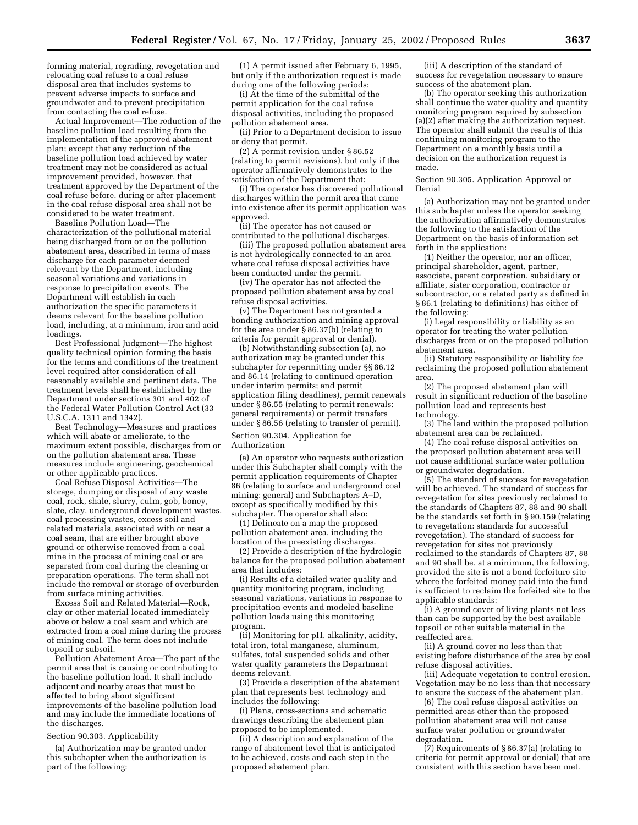forming material, regrading, revegetation and relocating coal refuse to a coal refuse disposal area that includes systems to prevent adverse impacts to surface and groundwater and to prevent precipitation from contacting the coal refuse.

Actual Improvement—The reduction of the baseline pollution load resulting from the implementation of the approved abatement plan; except that any reduction of the baseline pollution load achieved by water treatment may not be considered as actual improvement provided, however, that treatment approved by the Department of the coal refuse before, during or after placement in the coal refuse disposal area shall not be considered to be water treatment.

Baseline Pollution Load—The characterization of the pollutional material being discharged from or on the pollution abatement area, described in terms of mass discharge for each parameter deemed relevant by the Department, including seasonal variations and variations in response to precipitation events. The Department will establish in each authorization the specific parameters it deems relevant for the baseline pollution load, including, at a minimum, iron and acid loadings.

Best Professional Judgment—The highest quality technical opinion forming the basis for the terms and conditions of the treatment level required after consideration of all reasonably available and pertinent data. The treatment levels shall be established by the Department under sections 301 and 402 of the Federal Water Pollution Control Act (33 U.S.C.A. 1311 and 1342).

Best Technology—Measures and practices which will abate or ameliorate, to the maximum extent possible, discharges from or on the pollution abatement area. These measures include engineering, geochemical or other applicable practices.

Coal Refuse Disposal Activities—The storage, dumping or disposal of any waste coal, rock, shale, slurry, culm, gob, boney, slate, clay, underground development wastes, coal processing wastes, excess soil and related materials, associated with or near a coal seam, that are either brought above ground or otherwise removed from a coal mine in the process of mining coal or are separated from coal during the cleaning or preparation operations. The term shall not include the removal or storage of overburden from surface mining activities.

Excess Soil and Related Material—Rock, clay or other material located immediately above or below a coal seam and which are extracted from a coal mine during the process of mining coal. The term does not include topsoil or subsoil.

Pollution Abatement Area—The part of the permit area that is causing or contributing to the baseline pollution load. It shall include adjacent and nearby areas that must be affected to bring about significant improvements of the baseline pollution load and may include the immediate locations of the discharges.

Section 90.303. Applicability

(a) Authorization may be granted under this subchapter when the authorization is part of the following:

(1) A permit issued after February 6, 1995, but only if the authorization request is made during one of the following periods:

(i) At the time of the submittal of the permit application for the coal refuse disposal activities, including the proposed pollution abatement area.

(ii) Prior to a Department decision to issue or deny that permit.

(2) A permit revision under § 86.52 (relating to permit revisions), but only if the operator affirmatively demonstrates to the satisfaction of the Department that:

(i) The operator has discovered pollutional discharges within the permit area that came into existence after its permit application was approved.

(ii) The operator has not caused or contributed to the pollutional discharges.

(iii) The proposed pollution abatement area is not hydrologically connected to an area where coal refuse disposal activities have been conducted under the permit.

(iv) The operator has not affected the proposed pollution abatement area by coal refuse disposal activities.

(v) The Department has not granted a bonding authorization and mining approval for the area under § 86.37(b) (relating to criteria for permit approval or denial).

(b) Notwithstanding subsection (a), no authorization may be granted under this subchapter for repermitting under §§ 86.12 and 86.14 (relating to continued operation under interim permits; and permit application filing deadlines), permit renewals under § 86.55 (relating to permit renewals: general requirements) or permit transfers under § 86.56 (relating to transfer of permit).

Section 90.304. Application for Authorization

(a) An operator who requests authorization under this Subchapter shall comply with the permit application requirements of Chapter 86 (relating to surface and underground coal mining: general) and Subchapters A–D, except as specifically modified by this subchapter. The operator shall also:

(1) Delineate on a map the proposed pollution abatement area, including the location of the preexisting discharges.

(2) Provide a description of the hydrologic balance for the proposed pollution abatement area that includes:

(i) Results of a detailed water quality and quantity monitoring program, including seasonal variations, variations in response to precipitation events and modeled baseline pollution loads using this monitoring program.

(ii) Monitoring for pH, alkalinity, acidity, total iron, total manganese, aluminum, sulfates, total suspended solids and other water quality parameters the Department deems relevant.

(3) Provide a description of the abatement plan that represents best technology and includes the following:

(i) Plans, cross-sections and schematic drawings describing the abatement plan proposed to be implemented.

(ii) A description and explanation of the range of abatement level that is anticipated to be achieved, costs and each step in the proposed abatement plan.

(iii) A description of the standard of success for revegetation necessary to ensure success of the abatement plan.

(b) The operator seeking this authorization shall continue the water quality and quantity monitoring program required by subsection (a)(2) after making the authorization request. The operator shall submit the results of this continuing monitoring program to the Department on a monthly basis until a decision on the authorization request is made.

Section 90.305. Application Approval or Denial

(a) Authorization may not be granted under this subchapter unless the operator seeking the authorization affirmatively demonstrates the following to the satisfaction of the Department on the basis of information set forth in the application:

(1) Neither the operator, nor an officer, principal shareholder, agent, partner, associate, parent corporation, subsidiary or affiliate, sister corporation, contractor or subcontractor, or a related party as defined in § 86.1 (relating to definitions) has either of the following:

(i) Legal responsibility or liability as an operator for treating the water pollution discharges from or on the proposed pollution abatement area.

(ii) Statutory responsibility or liability for reclaiming the proposed pollution abatement area.

(2) The proposed abatement plan will result in significant reduction of the baseline pollution load and represents best technology.

(3) The land within the proposed pollution abatement area can be reclaimed.

(4) The coal refuse disposal activities on the proposed pollution abatement area will not cause additional surface water pollution or groundwater degradation.

(5) The standard of success for revegetation will be achieved. The standard of success for revegetation for sites previously reclaimed to the standards of Chapters 87, 88 and 90 shall be the standards set forth in § 90.159 (relating to revegetation: standards for successful revegetation). The standard of success for revegetation for sites not previously reclaimed to the standards of Chapters 87, 88 and 90 shall be, at a minimum, the following, provided the site is not a bond forfeiture site where the forfeited money paid into the fund is sufficient to reclaim the forfeited site to the applicable standards:

(i) A ground cover of living plants not less than can be supported by the best available topsoil or other suitable material in the reaffected area.

(ii) A ground cover no less than that existing before disturbance of the area by coal refuse disposal activities.

(iii) Adequate vegetation to control erosion. Vegetation may be no less than that necessary to ensure the success of the abatement plan.

(6) The coal refuse disposal activities on permitted areas other than the proposed pollution abatement area will not cause surface water pollution or groundwater degradation.

(7) Requirements of § 86.37(a) (relating to criteria for permit approval or denial) that are consistent with this section have been met.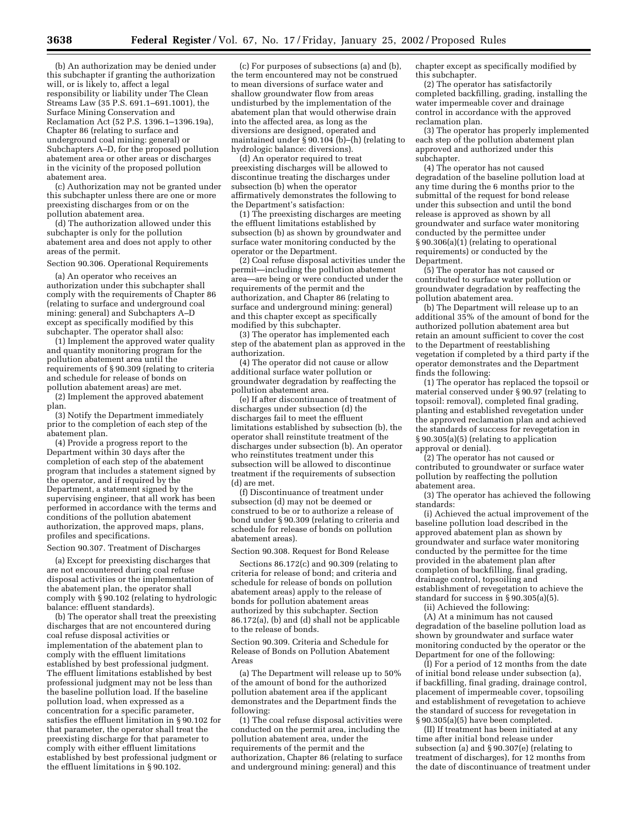(b) An authorization may be denied under this subchapter if granting the authorization will, or is likely to, affect a legal responsibility or liability under The Clean Streams Law (35 P.S. 691.1–691.1001), the Surface Mining Conservation and Reclamation Act (52 P.S. 1396.1–1396.19a), Chapter 86 (relating to surface and underground coal mining: general) or Subchapters A–D, for the proposed pollution abatement area or other areas or discharges in the vicinity of the proposed pollution abatement area.

(c) Authorization may not be granted under this subchapter unless there are one or more preexisting discharges from or on the pollution abatement area.

(d) The authorization allowed under this subchapter is only for the pollution abatement area and does not apply to other areas of the permit.

## Section 90.306. Operational Requirements

(a) An operator who receives an authorization under this subchapter shall comply with the requirements of Chapter 86 (relating to surface and underground coal mining: general) and Subchapters A–D except as specifically modified by this subchapter. The operator shall also:

(1) Implement the approved water quality and quantity monitoring program for the pollution abatement area until the requirements of § 90.309 (relating to criteria and schedule for release of bonds on pollution abatement areas) are met.

(2) Implement the approved abatement plan.

(3) Notify the Department immediately prior to the completion of each step of the abatement plan.

(4) Provide a progress report to the Department within 30 days after the completion of each step of the abatement program that includes a statement signed by the operator, and if required by the Department, a statement signed by the supervising engineer, that all work has been performed in accordance with the terms and conditions of the pollution abatement authorization, the approved maps, plans, profiles and specifications.

## Section 90.307. Treatment of Discharges

(a) Except for preexisting discharges that are not encountered during coal refuse disposal activities or the implementation of the abatement plan, the operator shall comply with § 90.102 (relating to hydrologic balance: effluent standards).

(b) The operator shall treat the preexisting discharges that are not encountered during coal refuse disposal activities or implementation of the abatement plan to comply with the effluent limitations established by best professional judgment. The effluent limitations established by best professional judgment may not be less than the baseline pollution load. If the baseline pollution load, when expressed as a concentration for a specific parameter, satisfies the effluent limitation in § 90.102 for that parameter, the operator shall treat the preexisting discharge for that parameter to comply with either effluent limitations established by best professional judgment or the effluent limitations in § 90.102.

(c) For purposes of subsections (a) and (b), the term encountered may not be construed to mean diversions of surface water and shallow groundwater flow from areas undisturbed by the implementation of the abatement plan that would otherwise drain into the affected area, as long as the diversions are designed, operated and maintained under  $\bar{S}$  90.104 (b)–(h) (relating to hydrologic balance: diversions).

(d) An operator required to treat preexisting discharges will be allowed to discontinue treating the discharges under subsection (b) when the operator affirmatively demonstrates the following to the Department's satisfaction:

(1) The preexisting discharges are meeting the effluent limitations established by subsection (b) as shown by groundwater and surface water monitoring conducted by the operator or the Department.

(2) Coal refuse disposal activities under the permit—including the pollution abatement area—are being or were conducted under the requirements of the permit and the authorization, and Chapter 86 (relating to surface and underground mining: general) and this chapter except as specifically modified by this subchapter.

(3) The operator has implemented each step of the abatement plan as approved in the authorization.

(4) The operator did not cause or allow additional surface water pollution or groundwater degradation by reaffecting the pollution abatement area.

(e) If after discontinuance of treatment of discharges under subsection (d) the discharges fail to meet the effluent limitations established by subsection (b), the operator shall reinstitute treatment of the discharges under subsection (b). An operator who reinstitutes treatment under this subsection will be allowed to discontinue treatment if the requirements of subsection (d) are met.

(f) Discontinuance of treatment under subsection (d) may not be deemed or construed to be or to authorize a release of bond under § 90.309 (relating to criteria and schedule for release of bonds on pollution abatement areas).

#### Section 90.308. Request for Bond Release

Sections 86.172(c) and 90.309 (relating to criteria for release of bond; and criteria and schedule for release of bonds on pollution abatement areas) apply to the release of bonds for pollution abatement areas authorized by this subchapter. Section  $86.172(a)$ , (b) and (d) shall not be applicable to the release of bonds.

Section 90.309. Criteria and Schedule for Release of Bonds on Pollution Abatement Areas

(a) The Department will release up to 50% of the amount of bond for the authorized pollution abatement area if the applicant demonstrates and the Department finds the following:

(1) The coal refuse disposal activities were conducted on the permit area, including the pollution abatement area, under the requirements of the permit and the authorization, Chapter 86 (relating to surface and underground mining: general) and this

chapter except as specifically modified by this subchapter.

(2) The operator has satisfactorily completed backfilling, grading, installing the water impermeable cover and drainage control in accordance with the approved reclamation plan.

(3) The operator has properly implemented each step of the pollution abatement plan approved and authorized under this subchapter.

(4) The operator has not caused degradation of the baseline pollution load at any time during the 6 months prior to the submittal of the request for bond release under this subsection and until the bond release is approved as shown by all groundwater and surface water monitoring conducted by the permittee under § 90.306(a)(1) (relating to operational requirements) or conducted by the Department.

(5) The operator has not caused or contributed to surface water pollution or groundwater degradation by reaffecting the pollution abatement area.

(b) The Department will release up to an additional 35% of the amount of bond for the authorized pollution abatement area but retain an amount sufficient to cover the cost to the Department of reestablishing vegetation if completed by a third party if the operator demonstrates and the Department finds the following:

(1) The operator has replaced the topsoil or material conserved under § 90.97 (relating to topsoil: removal), completed final grading, planting and established revegetation under the approved reclamation plan and achieved the standards of success for revegetation in § 90.305(a)(5) (relating to application approval or denial).

(2) The operator has not caused or contributed to groundwater or surface water pollution by reaffecting the pollution abatement area.

(3) The operator has achieved the following standards:

(i) Achieved the actual improvement of the baseline pollution load described in the approved abatement plan as shown by groundwater and surface water monitoring conducted by the permittee for the time provided in the abatement plan after completion of backfilling, final grading, drainage control, topsoiling and establishment of revegetation to achieve the standard for success in § 90.305(a)(5).

(ii) Achieved the following:

(A) At a minimum has not caused degradation of the baseline pollution load as shown by groundwater and surface water monitoring conducted by the operator or the Department for one of the following:

 $(1)$  For a period of 12 months from the date of initial bond release under subsection (a), if backfilling, final grading, drainage control, placement of impermeable cover, topsoiling and establishment of revegetation to achieve the standard of success for revegetation in § 90.305(a)(5) have been completed.

(II) If treatment has been initiated at any time after initial bond release under subsection (a) and § 90.307(e) (relating to treatment of discharges), for 12 months from the date of discontinuance of treatment under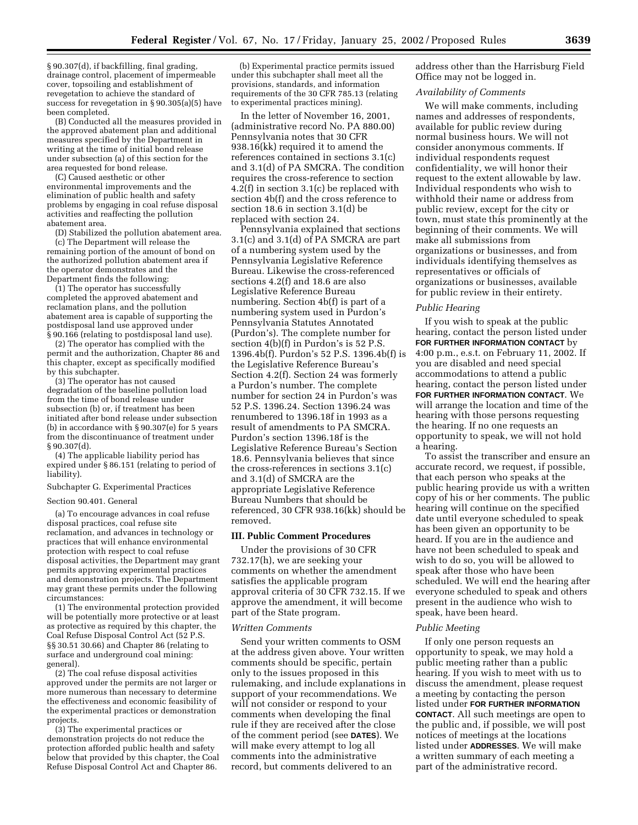§ 90.307(d), if backfilling, final grading, drainage control, placement of impermeable cover, topsoiling and establishment of revegetation to achieve the standard of success for revegetation in § 90.305(a)(5) have been completed.

(B) Conducted all the measures provided in the approved abatement plan and additional measures specified by the Department in writing at the time of initial bond release under subsection (a) of this section for the area requested for bond release.

(C) Caused aesthetic or other environmental improvements and the elimination of public health and safety problems by engaging in coal refuse disposal activities and reaffecting the pollution abatement area.

(D) Stabilized the pollution abatement area. (c) The Department will release the remaining portion of the amount of bond on the authorized pollution abatement area if the operator demonstrates and the Department finds the following:

(1) The operator has successfully completed the approved abatement and reclamation plans, and the pollution abatement area is capable of supporting the postdisposal land use approved under § 90.166 (relating to postdisposal land use).

(2) The operator has complied with the permit and the authorization, Chapter 86 and this chapter, except as specifically modified by this subchapter.

(3) The operator has not caused degradation of the baseline pollution load from the time of bond release under subsection (b) or, if treatment has been initiated after bond release under subsection (b) in accordance with § 90.307(e) for 5 years from the discontinuance of treatment under § 90.307(d).

(4) The applicable liability period has expired under § 86.151 (relating to period of liability).

Subchapter G. Experimental Practices

## Section 90.401. General

(a) To encourage advances in coal refuse disposal practices, coal refuse site reclamation, and advances in technology or practices that will enhance environmental protection with respect to coal refuse disposal activities, the Department may grant permits approving experimental practices and demonstration projects. The Department may grant these permits under the following circumstances:

(1) The environmental protection provided will be potentially more protective or at least as protective as required by this chapter, the Coal Refuse Disposal Control Act (52 P.S. §§ 30.51 30.66) and Chapter 86 (relating to surface and underground coal mining: general).

(2) The coal refuse disposal activities approved under the permits are not larger or more numerous than necessary to determine the effectiveness and economic feasibility of the experimental practices or demonstration projects.

(3) The experimental practices or demonstration projects do not reduce the protection afforded public health and safety below that provided by this chapter, the Coal Refuse Disposal Control Act and Chapter 86.

(b) Experimental practice permits issued under this subchapter shall meet all the provisions, standards, and information requirements of the 30 CFR 785.13 (relating to experimental practices mining).

In the letter of November 16, 2001, (administrative record No. PA 880.00) Pennsylvania notes that 30 CFR 938.16(kk) required it to amend the references contained in sections 3.1(c) and 3.1(d) of PA SMCRA. The condition requires the cross-reference to section 4.2(f) in section 3.1(c) be replaced with section 4b(f) and the cross reference to section 18.6 in section 3.1(d) be replaced with section 24.

Pennsylvania explained that sections 3.1(c) and 3.1(d) of PA SMCRA are part of a numbering system used by the Pennsylvania Legislative Reference Bureau. Likewise the cross-referenced sections 4.2(f) and 18.6 are also Legislative Reference Bureau numbering. Section 4b(f) is part of a numbering system used in Purdon's Pennsylvania Statutes Annotated (Purdon's). The complete number for section 4(b)(f) in Purdon's is 52 P.S. 1396.4b(f). Purdon's 52 P.S. 1396.4b(f) is the Legislative Reference Bureau's Section 4.2(f). Section 24 was formerly a Purdon's number. The complete number for section 24 in Purdon's was 52 P.S. 1396.24. Section 1396.24 was renumbered to 1396.18f in 1993 as a result of amendments to PA SMCRA. Purdon's section 1396.18f is the Legislative Reference Bureau's Section 18.6. Pennsylvania believes that since the cross-references in sections 3.1(c) and 3.1(d) of SMCRA are the appropriate Legislative Reference Bureau Numbers that should be referenced, 30 CFR 938.16(kk) should be removed.

#### **III. Public Comment Procedures**

Under the provisions of 30 CFR 732.17(h), we are seeking your comments on whether the amendment satisfies the applicable program approval criteria of 30 CFR 732.15. If we approve the amendment, it will become part of the State program.

### *Written Comments*

Send your written comments to OSM at the address given above. Your written comments should be specific, pertain only to the issues proposed in this rulemaking, and include explanations in support of your recommendations. We will not consider or respond to your comments when developing the final rule if they are received after the close of the comment period (see **DATES**). We will make every attempt to log all comments into the administrative record, but comments delivered to an

address other than the Harrisburg Field Office may not be logged in.

#### *Availability of Comments*

We will make comments, including names and addresses of respondents, available for public review during normal business hours. We will not consider anonymous comments. If individual respondents request confidentiality, we will honor their request to the extent allowable by law. Individual respondents who wish to withhold their name or address from public review, except for the city or town, must state this prominently at the beginning of their comments. We will make all submissions from organizations or businesses, and from individuals identifying themselves as representatives or officials of organizations or businesses, available for public review in their entirety.

## *Public Hearing*

If you wish to speak at the public hearing, contact the person listed under **FOR FURTHER INFORMATION CONTACT** by 4:00 p.m., e.s.t. on February 11, 2002. If you are disabled and need special accommodations to attend a public hearing, contact the person listed under **FOR FURTHER INFORMATION CONTACT**. We will arrange the location and time of the hearing with those persons requesting the hearing. If no one requests an opportunity to speak, we will not hold a hearing.

To assist the transcriber and ensure an accurate record, we request, if possible, that each person who speaks at the public hearing provide us with a written copy of his or her comments. The public hearing will continue on the specified date until everyone scheduled to speak has been given an opportunity to be heard. If you are in the audience and have not been scheduled to speak and wish to do so, you will be allowed to speak after those who have been scheduled. We will end the hearing after everyone scheduled to speak and others present in the audience who wish to speak, have been heard.

## *Public Meeting*

If only one person requests an opportunity to speak, we may hold a public meeting rather than a public hearing. If you wish to meet with us to discuss the amendment, please request a meeting by contacting the person listed under **FOR FURTHER INFORMATION CONTACT**. All such meetings are open to the public and, if possible, we will post notices of meetings at the locations listed under **ADDRESSES**. We will make a written summary of each meeting a part of the administrative record.